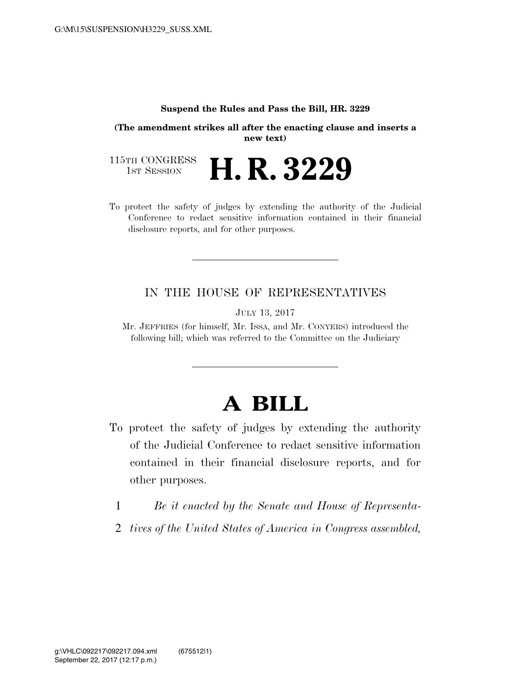## **Suspend the Rules and Pass the Bill, HR. 3229**

**(The amendment strikes all after the enacting clause and inserts a new text)**

115TH CONGRESS<br>1st Session H. R. 3229

To protect the safety of judges by extending the authority of the Judicial Conference to redact sensitive information contained in their financial disclosure reports, and for other purposes.

## IN THE HOUSE OF REPRESENTATIVES

JULY 13, 2017

Mr. JEFFRIES (for himself, Mr. ISSA, and Mr. CONYERS) introduced the following bill; which was referred to the Committee on the Judiciary

## **A BILL**

- To protect the safety of judges by extending the authority of the Judicial Conference to redact sensitive information contained in their financial disclosure reports, and for other purposes.
	- 1 *Be it enacted by the Senate and House of Representa-*
	- 2 *tives of the United States of America in Congress assembled,*